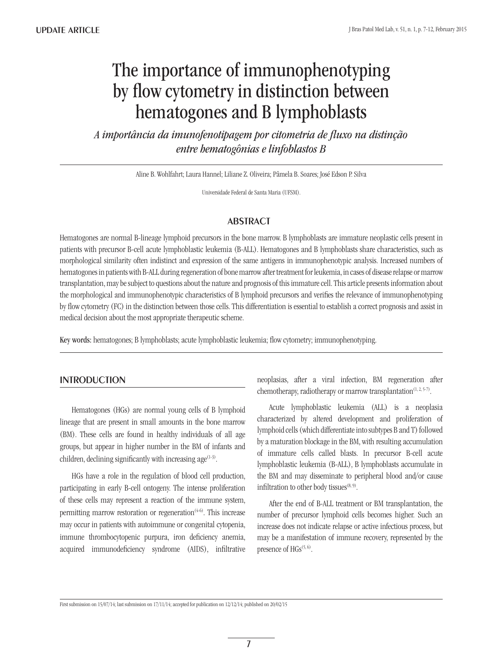# The importance of immunophenotyping by flow cytometry in distinction between hematogones and B lymphoblasts

*A importância da imunofenotipagem por citometria de fluxo na distinção entre hematogônias e linfoblastos B*

Aline B. Wohlfahrt; Laura Hannel; Liliane Z. Oliveira; Pâmela B. Soares; José Edson P. Silva

Universidade Federal de Santa Maria (UFSM).

### **ABSTRACT**

Hematogones are normal B-lineage lymphoid precursors in the bone marrow. B lymphoblasts are immature neoplastic cells present in patients with precursor B-cell acute lymphoblastic leukemia (B-ALL). Hematogones and B lymphoblasts share characteristics, such as morphological similarity often indistinct and expression of the same antigens in immunophenotypic analysis. Increased numbers of hematogones in patients with B-ALL during regeneration of bone marrow after treatment for leukemia, in cases of disease relapse or marrow transplantation, may be subject to questions about the nature and prognosis of this immature cell. This article presents information about the morphological and immunophenotypic characteristics of B lymphoid precursors and verifies the relevance of immunophenotyping by flow cytometry (FC) in the distinction between those cells. This differentiation is essential to establish a correct prognosis and assist in medical decision about the most appropriate therapeutic scheme.

Key words: hematogones; B lymphoblasts; acute lymphoblastic leukemia; flow cytometry; immunophenotyping.

## **INTRODUCTION**

Hematogones (HGs) are normal young cells of B lymphoid lineage that are present in small amounts in the bone marrow (BM). These cells are found in healthy individuals of all age groups, but appear in higher number in the BM of infants and children, declining significantly with increasing age  $(1-3)$ .

HGs have a role in the regulation of blood cell production, participating in early B-cell ontogeny. The intense proliferation of these cells may represent a reaction of the immune system, permitting marrow restoration or regeneration<sup> $(4-6)$ </sup>. This increase may occur in patients with autoimmune or congenital cytopenia, immune thrombocytopenic purpura, iron deficiency anemia, acquired immunodeficiency syndrome (AIDS), infiltrative neoplasias, after a viral infection, BM regeneration after chemotherapy, radiotherapy or marrow transplantation<sup> $(1, 2, 5-7)$ </sup>.

Acute lymphoblastic leukemia (ALL) is a neoplasia characterized by altered development and proliferation of lymphoid cells (which differentiate into subtypes B and T) followed by a maturation blockage in the BM, with resulting accumulation of immature cells called blasts. In precursor B-cell acute lymphoblastic leukemia (B-ALL), B lymphoblasts accumulate in the BM and may disseminate to peripheral blood and/or cause infiltration to other body tissues $(8, 9)$ .

After the end of B-ALL treatment or BM transplantation, the number of precursor lymphoid cells becomes higher. Such an increase does not indicate relapse or active infectious process, but may be a manifestation of immune recovery, represented by the presence of  $HGs^{(5, 6)}$ .

First submission on 15/07/14; last submission on 17/11/14; accepted for publication on 12/12/14; published on 20/02/15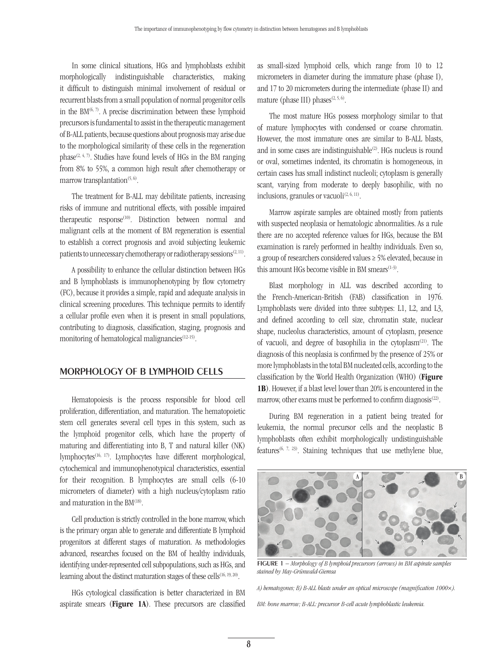In some clinical situations, HGs and lymphoblasts exhibit morphologically indistinguishable characteristics, making it difficult to distinguish minimal involvement of residual or recurrent blasts from a small population of normal progenitor cells in the  $BM^{(6, 7)}$ . A precise discrimination between these lymphoid precursors is fundamental to assist in the therapeutic management of B-ALL patients, because questions about prognosis may arise due to the morphological similarity of these cells in the regeneration phase<sup> $(2, 4, 7)$ </sup>. Studies have found levels of HGs in the BM ranging from 8% to 55%, a common high result after chemotherapy or marrow transplantation<sup> $(5, 6)$ </sup>.

The treatment for B-ALL may debilitate patients, increasing risks of immune and nutritional effects, with possible impaired therapeutic response<sup>(10)</sup>. Distinction between normal and malignant cells at the moment of BM regeneration is essential to establish a correct prognosis and avoid subjecting leukemic patients to unnecessary chemotherapy or radiotherapy sessions<sup> $(2, 11)$ </sup>.

A possibility to enhance the cellular distinction between HGs and B lymphoblasts is immunophenotyping by flow cytometry (FC), because it provides a simple, rapid and adequate analysis in clinical screening procedures. This technique permits to identify a cellular profile even when it is present in small populations, contributing to diagnosis, classification, staging, prognosis and monitoring of hematological malignancies $(12-15)$ .

## Morphology of B lymphoid cells

Hematopoiesis is the process responsible for blood cell proliferation, differentiation, and maturation. The hematopoietic stem cell generates several cell types in this system, such as the lymphoid progenitor cells, which have the property of maturing and differentiating into B, T and natural killer (NK) lymphocytes<sup>(16, 17)</sup>. Lymphocytes have different morphological, cytochemical and immunophenotypical characteristics, essential for their recognition. B lymphocytes are small cells (6-10 micrometers of diameter) with a high nucleus/cytoplasm ratio and maturation in the BM<sup>(18)</sup>.

Cell production is strictly controlled in the bone marrow, which is the primary organ able to generate and differentiate B lymphoid progenitors at different stages of maturation. As methodologies advanced, researches focused on the BM of healthy individuals, identifying under-represented cell subpopulations, such as HGs, and learning about the distinct maturation stages of these cells<sup>(16, 19, 20)</sup>.

HGs cytological classification is better characterized in BM aspirate smears (Figure 1A). These precursors are classified

as small-sized lymphoid cells, which range from 10 to 12 micrometers in diameter during the immature phase (phase I), and 17 to 20 micrometers during the intermediate (phase II) and mature (phase III) phases<sup> $(2, 5, 6)$ </sup>.

The most mature HGs possess morphology similar to that of mature lymphocytes with condensed or coarse chromatin. However, the most immature ones are similar to B-ALL blasts, and in some cases are indistinguishable<sup>(2)</sup>. HGs nucleus is round or oval, sometimes indented, its chromatin is homogeneous, in certain cases has small indistinct nucleoli; cytoplasm is generally scant, varying from moderate to deeply basophilic, with no inclusions, granules or vacuoli $(2, 6, 11)$ .

Marrow aspirate samples are obtained mostly from patients with suspected neoplasia or hematologic abnormalities. As a rule there are no accepted reference values for HGs, because the BM examination is rarely performed in healthy individuals. Even so, a group of researchers considered values ≥ 5% elevated, because in this amount HGs become visible in BM smears<sup>(1-3)</sup>.

Blast morphology in ALL was described according to the French-American-British (FAB) classification in 1976. Lymphoblasts were divided into three subtypes: L1, L2, and L3, and defined according to cell size, chromatin state, nuclear shape, nucleolus characteristics, amount of cytoplasm, presence of vacuoli, and degree of basophilia in the cytoplasm(21). The diagnosis of this neoplasia is confirmed by the presence of 25% or more lymphoblasts in the total BM nucleated cells, according to the classification by the World Health Organization (WHO) (Figure 1B). However, if a blast level lower than 20% is encountered in the marrow, other exams must be performed to confirm diagnosis<sup> $(22)$ </sup>.

During BM regeneration in a patient being treated for leukemia, the normal precursor cells and the neoplastic B lymphoblasts often exhibit morphologically undistinguishable features<sup>(6, 7, 23)</sup>. Staining techniques that use methylene blue,



Figure 1 *− Morphology of B lymphoid precursors (arrows) in BM aspirate samples stained by May-Grünwald-Giemsa*

*A) hematogones; B) B-ALL blasts under an optical microscope (magnification 1000×).*

*BM: bone marrow; B-ALL: precursor B-cell acute lymphoblastic leukemia.*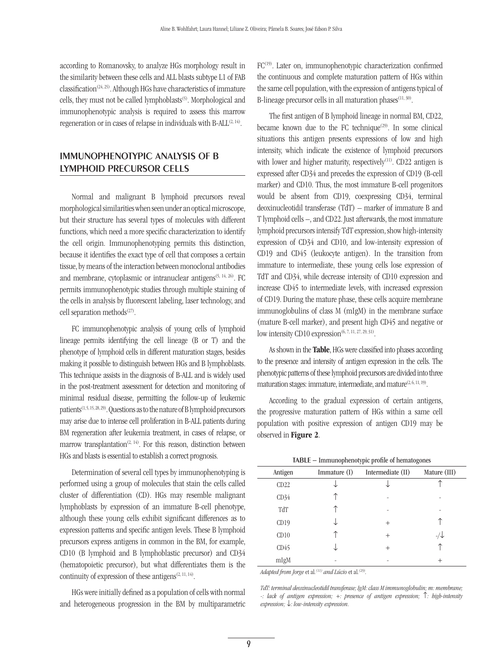according to Romanovsky, to analyze HGs morphology result in the similarity between these cells and ALL blasts subtype L1 of FAB classification(24, 25). Although HGs have characteristics of immature cells, they must not be called lymphoblasts<sup>(5)</sup>. Morphological and immunophenotypic analysis is required to assess this marrow regeneration or in cases of relapse in individuals with B-ALL<sup>(2, 14)</sup>.

## Immunophenotypic analysis of B lymphoid precursor cells

Normal and malignant B lymphoid precursors reveal morphological similarities when seen under an optical microscope, but their structure has several types of molecules with different functions, which need a more specific characterization to identify the cell origin. Immunophenotyping permits this distinction, because it identifies the exact type of cell that composes a certain tissue, by means of the interaction between monoclonal antibodies and membrane, cytoplasmic or intranuclear antigens<sup> $(5, 14, 26)$ </sup>. FC permits immunophenotypic studies through multiple staining of the cells in analysis by fluorescent labeling, laser technology, and cell separation methods<sup>(27)</sup>.

FC immunophenotypic analysis of young cells of lymphoid lineage permits identifying the cell lineage (B or T) and the phenotype of lymphoid cells in different maturation stages, besides making it possible to distinguish between HGs and B lymphoblasts. This technique assists in the diagnosis of B-ALL and is widely used in the post-treatment assessment for detection and monitoring of minimal residual disease, permitting the follow-up of leukemic patients<sup>(1, 5, 15, 28, 29)</sup>. Questions as to the nature of B lymphoid precursors may arise due to intense cell proliferation in B-ALL patients during BM regeneration after leukemia treatment, in cases of relapse, or marrow transplantation<sup>(2, 14)</sup>. For this reason, distinction between HGs and blasts is essential to establish a correct prognosis.

Determination of several cell types by immunophenotyping is performed using a group of molecules that stain the cells called cluster of differentiation (CD). HGs may resemble malignant lymphoblasts by expression of an immature B-cell phenotype, although these young cells exhibit significant differences as to expression patterns and specific antigen levels. These B lymphoid precursors express antigens in common in the BM, for example, CD10 (B lymphoid and B lymphoblastic precursor) and CD34 (hematopoietic precursor), but what differentiates them is the continuity of expression of these antigens<sup> $(2, 11, 14)$ </sup>.

HGs were initially defined as a population of cells with normal and heterogeneous progression in the BM by multiparametric FC<sup>(19)</sup>. Later on, immunophenotypic characterization confirmed the continuous and complete maturation pattern of HGs within the same cell population, with the expression of antigens typical of B-lineage precursor cells in all maturation phases $(11, 30)$ .

The first antigen of B lymphoid lineage in normal BM, CD22, became known due to the FC technique<sup>(29)</sup>. In some clinical situations this antigen presents expressions of low and high intensity, which indicate the existence of lymphoid precursors with lower and higher maturity, respectively<sup>(11)</sup>. CD22 antigen is expressed after CD34 and precedes the expression of CD19 (B-cell marker) and CD10. Thus, the most immature B-cell progenitors would be absent from CD19, coexpressing CD34, terminal deoxinucleotidil transferase (TdT) – marker of immature B and T lymphoid cells –, and CD22. Just afterwards, the most immature lymphoid precursors intensify TdT expression, show high-intensity expression of CD34 and CD10, and low-intensity expression of CD19 and CD45 (leukocyte antigen). In the transition from immature to intermediate, these young cells lose expression of TdT and CD34, while decrease intensity of CD10 expression and increase CD45 to intermediate levels, with increased expression of CD19. During the mature phase, these cells acquire membrane immunoglobulins of class M (mIgM) in the membrane surface (mature B-cell marker), and present high CD45 and negative or low intensity CD10 expression<sup>(6, 7, 11, 27, 29, 31)</sup>.

As shown in the Table, HGs were classified into phases according to the presence and intensity of antigen expression in the cells. The phenotypic patterns of these lymphoid precursors are divided into three maturation stages: immature, intermediate, and mature<sup>(2, 6, 11, 19)</sup>.

According to the gradual expression of certain antigens, the progressive maturation pattern of HGs within a same cell population with positive expression of antigen CD19 may be observed in Figure 2.

| <b>IADLE</b> – Infinunophenotypic profile of hematogories |              |                   |              |
|-----------------------------------------------------------|--------------|-------------------|--------------|
| Antigen                                                   | Immature (I) | Intermediate (II) | Mature (III) |
| CD22                                                      |              |                   |              |
| CD34                                                      |              |                   |              |
| TdT                                                       |              |                   |              |
| CD19                                                      |              | $^{+}$            |              |
| CD10                                                      |              | $^{+}$            |              |
| CD45                                                      |              | $^{+}$            |              |
| mIgM                                                      |              |                   | $^{+}$       |

 $\text{C}$ 

*Adapted from Jorge* et al*. (11) and Lúcio* et al*. (29).*

*TdT: terminal deoxinucleotidil transferase; IgM: class M immunoglobulin; m: membrane; -: lack of antigen expression; +: presence of antigen expression;* ↑*: high-intensity expression;* ↓*: low-intensity expression.*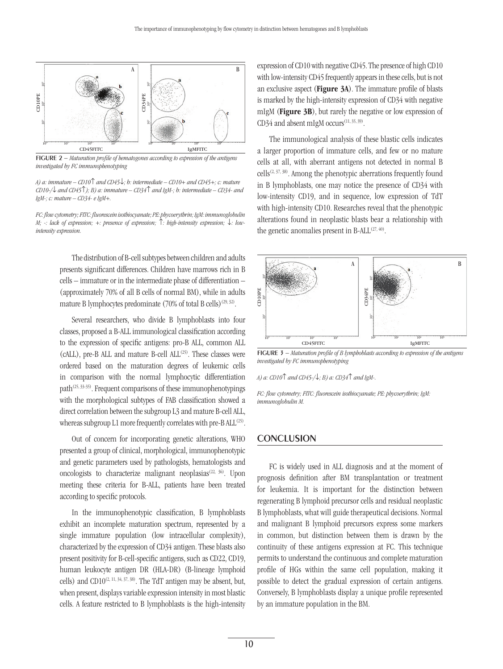

Figure 2 *− Maturation profile of hematogones according to expression of the antigens investigated by FC immunophenotyping*

*A) a: immature – CD10*↑ *and CD45*↓*; b: intermediate – CD10+ and CD45+; c: mature CD10-/*↓ *and CD45*↑*); B) a: immature – CD34*↑ *and IgM-; b: intermediate – CD34- and IgM-; c: mature – CD34- e IgM+.*

*FC: flow cytometry; FITC: fluorescein isothiocyanate; PE: phycoerythrin; IgM: immunoglobulin M; -: lack of expression; +: presence of expression;* ↑*: high-intensity expression;* ↓*: lowintensity expression.*

> The distribution of B-cell subtypes between children and adults presents significant differences. Children have marrows rich in B cells – immature or in the intermediate phase of differentiation – (approximately 70% of all B cells of normal BM), while in adults mature B lymphocytes predominate  $(70\%$  of total B cells)<sup>(29, 32)</sup>.

> Several researchers, who divide B lymphoblasts into four classes, proposed a B-ALL immunological classification according to the expression of specific antigens: pro-B ALL, common ALL (cALL), pre-B ALL and mature B-cell  $ALL^{(25)}$ . These classes were ordered based on the maturation degrees of leukemic cells in comparison with the normal lymphocytic differentiation path $(25, 33-35)$ . Frequent comparisons of these immunophenotypings with the morphological subtypes of FAB classification showed a direct correlation between the subgroup L3 and mature B-cell ALL, whereas subgroup L1 more frequently correlates with pre-B ALL<sup>(25)</sup>.

> Out of concern for incorporating genetic alterations, WHO presented a group of clinical, morphological, immunophenotypic and genetic parameters used by pathologists, hematologists and oncologists to characterize malignant neoplasias<sup> $(22, 36)$ </sup>. Upon meeting these criteria for B-ALL, patients have been treated according to specific protocols.

> In the immunophenotypic classification, B lymphoblasts exhibit an incomplete maturation spectrum, represented by a single immature population (low intracellular complexity), characterized by the expression of CD34 antigen. These blasts also present positivity for B-cell-specific antigens, such as CD22, CD19, human leukocyte antigen DR (HLA-DR) (B-lineage lymphoid cells) and  $CD10^{(2, 11, 34, 37, 38)}$ . The TdT antigen may be absent, but, when present, displays variable expression intensity in most blastic cells. A feature restricted to B lymphoblasts is the high-intensity

expression of CD10 with negative CD45. The presence of high CD10 with low-intensity CD45 frequently appears in these cells, but is not an exclusive aspect (Figure 3A). The immature profile of blasts is marked by the high-intensity expression of CD34 with negative mIgM (**Figure 3B**), but rarely the negative or low expression of CD34 and absent mIgM occurs<sup> $(11, 35, 39)$ </sup>.

The immunological analysis of these blastic cells indicates a larger proportion of immature cells, and few or no mature cells at all, with aberrant antigens not detected in normal B  $cells^{(2, 37, 38)}$ . Among the phenotypic aberrations frequently found in B lymphoblasts, one may notice the presence of CD34 with low-intensity CD19, and in sequence, low expression of TdT with high-intensity CD10. Researches reveal that the phenotypic alterations found in neoplastic blasts bear a relationship with the genetic anomalies present in B-ALL $^{(27,40)}$ .



Figure 3 *− Maturation profile of B lymphoblasts according to expression of the antigens investigated by FC immunophenotyping*

*A) a: CD10*↑ *and CD45-/*↓*; B) a: CD34*↑ *and IgM-.*

*FC: flow cytometry; FITC: fluorescein isothiocyanate; PE: phycoerythrin; IgM: immunoglobulin M.*

#### **CONCLUSION**

FC is widely used in ALL diagnosis and at the moment of prognosis definition after BM transplantation or treatment for leukemia. It is important for the distinction between regenerating B lymphoid precursor cells and residual neoplastic B lymphoblasts, what will guide therapeutical decisions. Normal and malignant B lymphoid precursors express some markers in common, but distinction between them is drawn by the continuity of these antigens expression at FC. This technique permits to understand the continuous and complete maturation profile of HGs within the same cell population, making it possible to detect the gradual expression of certain antigens. Conversely, B lymphoblasts display a unique profile represented by an immature population in the BM.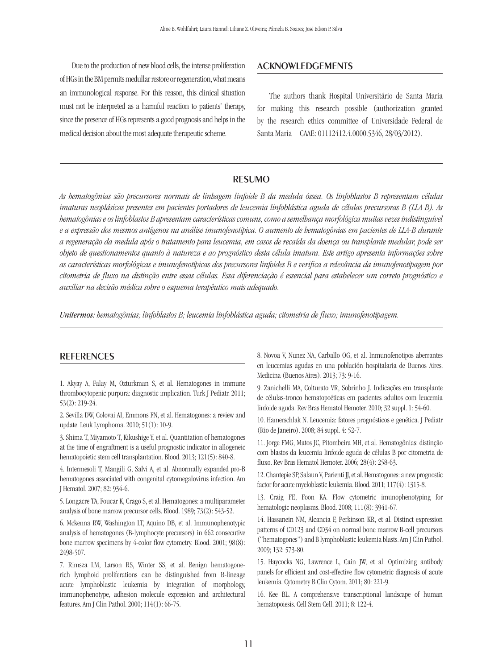Due to the production of new blood cells, the intense proliferation of HGs in the BM permits medullar restore or regeneration, what means an immunological response. For this reason, this clinical situation must not be interpreted as a harmful reaction to patients' therapy, since the presence of HGs represents a good prognosis and helps in the medical decision about the most adequate therapeutic scheme.

### Acknowledgements

The authors thank Hospital Universitário de Santa Maria for making this research possible (authorization granted by the research ethics committee of Universidade Federal de Santa Maria – CAAE: 01112412.4.0000.5346, 28/03/2012).

## resumo

*As hematogônias são precursores normais de linhagem linfoide B da medula óssea. Os linfoblastos B representam células imaturas neoplásicas presentes em pacientes portadores de leucemia linfoblástica aguda de células precursoras B (LLA-B). As hematogônias e os linfoblastos B apresentam características comuns, como a semelhança morfológica muitas vezes indistinguível e a expressão dos mesmos antígenos na análise imunofenotípica. O aumento de hematogônias em pacientes de LLA-B durante a regeneração da medula após o tratamento para leucemia, em casos de recaída da doença ou transplante medular, pode ser objeto de questionamentos quanto à natureza e ao prognóstico desta célula imatura. Este artigo apresenta informações sobre as características morfológicas e imunofenotípicas dos precursores linfoides B e verifica a relevância da imunofenotipagem por citometria de fluxo na distinção entre essas células. Essa diferenciação é essencial para estabelecer um correto prognóstico e auxiliar na decisão médica sobre o esquema terapêutico mais adequado.*

*Unitermos: hematogônias; linfoblastos B; leucemia linfoblástica aguda; citometria de fluxo; imunofenotipagem.*

#### **REFERENCES**

1. Akyay A, Falay M, Ozturkman S, et al. Hematogones in immune thrombocytopenic purpura: diagnostic implication. Turk J Pediatr. 2011; 53(2): 219-24.

2. Sevilla DW, Colovai AI, Emmons FN, et al. Hematogones: a review and update. Leuk Lymphoma. 2010; 51(1): 10-9.

3. Shima T, Miyamoto T, Kikushige Y, et al. Quantitation of hematogones at the time of engraftment is a useful prognostic indicator in allogeneic hematopoietic stem cell transplantation. Blood. 2013; 121(5): 840-8.

4. Intermesoli T, Mangili G, Salvi A, et al. Abnormally expanded pro-B hematogones associated with congenital cytomegalovirus infection. Am J Hematol. 2007; 82: 934-6.

5. Longacre TA, Foucar K, Crago S, et al. Hematogones: a multiparameter analysis of bone marrow precursor cells. Blood. 1989; 73(2): 543-52.

6. Mckenna RW, Washington LT, Aquino DB, et al. Immunophenotypic analysis of hematogones (B-lymphocyte precursors) in 662 consecutive bone marrow specimens by 4-color flow cytometry. Blood. 2001; 98(8): 2498-507.

7. Rimsza LM, Larson RS, Winter SS, et al. Benign hematogonerich lymphoid proliferations can be distinguished from B-lineage acute lymphoblastic leukemia by integration of morphology, immunophenotype, adhesion molecule expression and architectural features. Am J Clin Pathol. 2000; 114(1): 66-75.

8. Novoa V, Nunez NA, Carballo OG, et al. Inmunofenotipos aberrantes en leucemias agudas en una población hospitalaria de Buenos Aires. Medicina (Buenos Aires). 2013; 73: 9-16.

9. Zanichelli MA, Colturato VR, Sobrinho J. Indicações em transplante de células-tronco hematopoéticas em pacientes adultos com leucemia linfoide aguda. Rev Bras Hematol Hemoter. 2010; 32 suppl. 1: 54-60.

10. Hamerschlak N. Leucemia: fatores prognósticos e genética. J Pediatr (Rio de Janeiro). 2008; 84 suppl. 4: 52-7.

11. Jorge FMG, Matos JC, Pitombeira MH, et al. Hematogônias: distinção com blastos da leucemia linfoide aguda de células B por citometria de fluxo. Rev Bras Hematol Hemoter. 2006; 28(4): 258-63.

12. Chantepie SP, Salaun V, Parienti JJ, et al. Hematogones: a new prognostic factor for acute myeloblastic leukemia. Blood. 2011; 117(4): 1315-8.

13. Craig FE, Foon KA. Flow cytometric imunophenotyping for hematologic neoplasms. Blood. 2008; 111(8): 3941-67.

14. Hassanein NM, Alcancia F, Perkinson KR, et al. Distinct expression patterns of CD123 and CD34 on normal bone marrow B-cell precursors ("hematogones") and B lymphoblastic leukemia blasts. Am J Clin Pathol. 2009; 132: 573-80.

15. Haycocks NG, Lawrence L, Cain JW, et al. Optimizing antibody panels for efficient and cost-effective flow cytometric diagnosis of acute leukemia. Cytometry B Clin Cytom. 2011; 80: 221-9.

16. Kee BL. A comprehensive transcriptional landscape of human hematopoiesis. Cell Stem Cell. 2011; 8: 122-4.